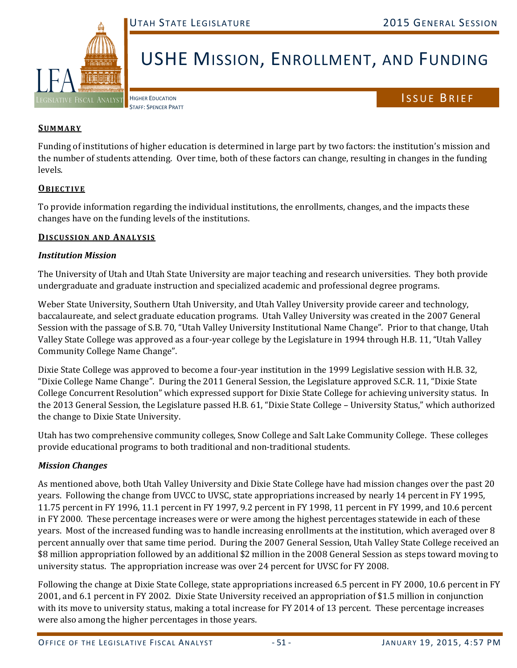

# USHE MISSION, ENROLLMENT, AND FUNDING

HIGHER EDUCATION STAFF: SPENCER PRATT ISSUE BRIEF

## **SUMMARY**

Funding of institutions of higher education is determined in large part by two factors: the institution's mission and the number of students attending. Over time, both of these factors can change, resulting in changes in the funding levels. 

## **OBJECTIVE**

To provide information regarding the individual institutions, the enrollments, changes, and the impacts these changes have on the funding levels of the institutions.

#### **DISCUSSION AND ANALYSIS**

## *Institution Mission*

The University of Utah and Utah State University are major teaching and research universities. They both provide undergraduate and graduate instruction and specialized academic and professional degree programs.

Weber State University, Southern Utah University, and Utah Valley University provide career and technology, baccalaureate, and select graduate education programs. Utah Valley University was created in the 2007 General Session with the passage of S.B. 70, "Utah Valley University Institutional Name Change". Prior to that change, Utah Valley State College was approved as a four-year college by the Legislature in 1994 through H.B. 11, "Utah Valley Community College Name Change".

Dixie State College was approved to become a four-year institution in the 1999 Legislative session with H.B. 32, "Dixie College Name Change". During the 2011 General Session, the Legislature approved S.C.R. 11, "Dixie State College Concurrent Resolution" which expressed support for Dixie State College for achieving university status. In the 2013 General Session, the Legislature passed H.B. 61, "Dixie State College – University Status," which authorized the change to Dixie State University.

Utah has two comprehensive community colleges, Snow College and Salt Lake Community College. These colleges provide educational programs to both traditional and non-traditional students.

## *Mission Changes*

As mentioned above, both Utah Valley University and Dixie State College have had mission changes over the past 20 years. Following the change from UVCC to UVSC, state appropriations increased by nearly 14 percent in FY 1995, 11.75 percent in FY 1996, 11.1 percent in FY 1997, 9.2 percent in FY 1998, 11 percent in FY 1999, and 10.6 percent in FY 2000. These percentage increases were or were among the highest percentages statewide in each of these years. Most of the increased funding was to handle increasing enrollments at the institution, which averaged over 8 percent annually over that same time period. During the 2007 General Session, Utah Valley State College received an \$8 million appropriation followed by an additional \$2 million in the 2008 General Session as steps toward moving to university status. The appropriation increase was over 24 percent for UVSC for FY 2008.

Following the change at Dixie State College, state appropriations increased 6.5 percent in FY 2000, 10.6 percent in FY 2001, and 6.1 percent in FY 2002. Dixie State University received an appropriation of \$1.5 million in conjunction with its move to university status, making a total increase for FY 2014 of 13 percent. These percentage increases were also among the higher percentages in those years.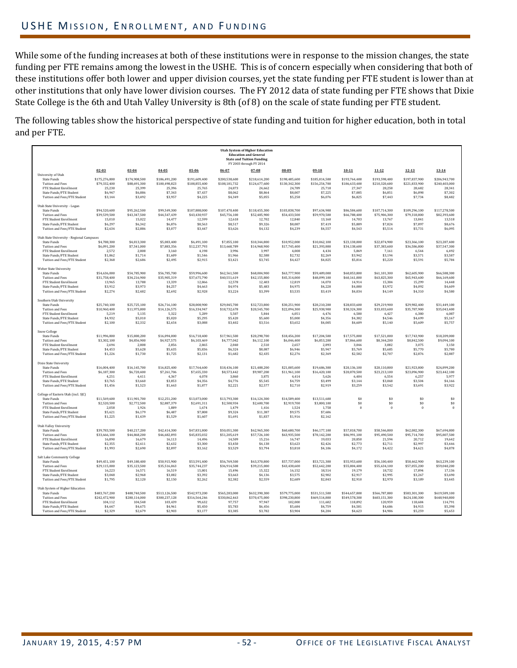## USHE MISSION, ENROLLMENT, AND FUNDING

While some of the funding increases at both of these institutions were in response to the mission changes, the state funding per FTE remains among the lowest in the USHE. This is of concern especially when considering that both of these institutions offer both lower and upper division courses, yet the state funding per FTE student is lower than at other institutions that only have lower division courses. The FY 2012 data of state funding per FTE shows that Dixie State College is the 6th and Utah Valley University is 8th (of 8) on the scale of state funding per FTE student.

The following tables show the historical perspective of state funding and tuition for higher education, both in total and per FTE.

|                                                                                                                                                                      |                                                               |                                                               |                                                                |                                                                |                                                                | <b>Utah System of Higher Education</b><br><b>Education and General</b><br><b>State and Tuition Funding</b><br>FY 2003 through FY 2014 |                                                                |                                                                |                                                                |                                                                |                                                                |                                                                |
|----------------------------------------------------------------------------------------------------------------------------------------------------------------------|---------------------------------------------------------------|---------------------------------------------------------------|----------------------------------------------------------------|----------------------------------------------------------------|----------------------------------------------------------------|---------------------------------------------------------------------------------------------------------------------------------------|----------------------------------------------------------------|----------------------------------------------------------------|----------------------------------------------------------------|----------------------------------------------------------------|----------------------------------------------------------------|----------------------------------------------------------------|
|                                                                                                                                                                      | $02 - 03$                                                     | $03 - 04$                                                     | $04 - 05$                                                      | $05 - 06$                                                      | $06 - 07$                                                      | $07 - 08$                                                                                                                             | $08 - 09$                                                      | $09 - 10$                                                      | $10 - 11$                                                      | $11 - 12$                                                      | $12 - 13$                                                      | $13 - 14$                                                      |
| University of Utah<br><b>State Funds</b><br><b>Tuition and Fees</b><br><b>FTE Student Enrollment</b><br>State Funds / FTE Student<br>Tuition and Fees/FTE Student    | \$175,276,800<br>\$79,332,400<br>25.230<br>\$6,947<br>\$3,144 | \$174,908,500<br>\$88,691,300<br>25.399<br>\$6,886<br>\$3,492 | \$186,491,200<br>\$100,498,823<br>25.396<br>\$7,343<br>\$3,957 | \$191,609,400<br>\$108,855,400<br>25.765<br>\$7,437<br>\$4,225 | \$200,538,600<br>\$108,181,732<br>24.873<br>\$8,062<br>\$4,349 | \$218,614,200<br>\$124,677,600<br>24.662<br>\$8,864<br>\$5,055                                                                        | \$198,485,600<br>\$130,342,300<br>24.789<br>\$8,007<br>\$5,258 | \$185,814,500<br>\$156,254,700<br>25,718<br>\$7,225<br>\$6,076 | \$193,764,400<br>\$186,633,400<br>27.347<br>\$7,085<br>\$6,825 | \$193,598,400<br>\$210,320,600<br>28,258<br>\$6,851<br>\$7.443 | \$197,837,900<br>\$221,833,900<br>28.682<br>\$6,898<br>\$7,734 | \$206,943,700<br>\$240,403,000<br>28.341<br>\$7,302<br>\$8,482 |
|                                                                                                                                                                      |                                                               |                                                               |                                                                |                                                                |                                                                |                                                                                                                                       |                                                                |                                                                |                                                                |                                                                |                                                                |                                                                |
| Utah State University - Logan<br><b>State Funds</b><br><b>Tuition and Fees</b><br>FTE Student Enrollment<br>State Funds /FTE Student<br>Tuition and Fees/FTE Student | \$94,520,600<br>\$39,539,500<br>15,010<br>\$6,297<br>\$2,634  | \$95,262,500<br>\$43,347,500<br>15.022<br>\$6,342<br>\$2,886  | \$99,549,300<br>\$44,547,439<br>14,477<br>\$6,876<br>\$3,077   | \$107,888,000<br>\$43,430,937<br>12.599<br>\$8,563<br>\$3,447  | \$107,470,400<br>\$45,756,100<br>12.618<br>\$8,517<br>\$3,626  | \$118,455,300<br>\$52,485,900<br>12.702<br>\$9,326<br>\$4,132                                                                         | \$103,838.700<br>\$54,433,500<br>12,840<br>\$8,087<br>\$4,239  | \$97,634,900<br>\$59,970,500<br>13.160<br>\$7,419<br>\$4,557   | \$86,584,600<br>\$66,788,400<br>14.703<br>\$5,889<br>\$4,543   | \$107,714,300<br>\$75,906,300<br>13,767<br>\$7,824<br>\$5,514  | \$109,296,100<br>\$79,318,800<br>13.841<br>\$7,897<br>\$5,731  | \$117,278,500<br>\$82,393,600<br>13.518<br>\$8,676<br>\$6,095  |
| Utah State University - Regional Campuses                                                                                                                            |                                                               |                                                               |                                                                |                                                                |                                                                |                                                                                                                                       |                                                                |                                                                |                                                                |                                                                |                                                                |                                                                |
| <b>State Funds</b><br><b>Tuition and Fees</b><br>FTE Student Enrollment<br>State Funds/FTE Student<br>Tuition and Fees/FTE Student                                   | \$4,788,300<br>\$6,091,200<br>2,572<br>\$1,862<br>\$2,368     | \$4,813,300<br>\$7,541,000<br>2,808<br>\$1,714<br>\$2,686     | \$5,083,400<br>\$7,883,356<br>3,160<br>\$1,609<br>\$2,495      | \$6,491,100<br>\$12,237,793<br>4,198<br>\$1,546<br>\$2,915     | \$7,855,100<br>\$13,668,789<br>3,996<br>\$1,966<br>\$3,421     | \$10,344,800<br>\$14,968,900<br>3,997<br>\$2,588<br>\$3,745                                                                           | \$10,952,000<br>\$17,745,400<br>4,008<br>\$2,732<br>\$4.427    | \$10,062,100<br>\$21,393,800<br>4,434<br>\$2,269<br>\$4,825    | \$23,138,000<br>\$34,138,600<br>5,869<br>\$3,942<br>\$5,816    | \$22,874,900<br>\$37,383,600<br>7,161<br>\$3,194<br>\$5,220    | \$23,366,100<br>\$36,586,800<br>6,544<br>\$3,571<br>\$5,591    | \$23,287,400<br>\$37,547,300<br>6,492<br>\$3,587<br>\$5,784    |
|                                                                                                                                                                      |                                                               |                                                               |                                                                |                                                                |                                                                |                                                                                                                                       |                                                                |                                                                |                                                                |                                                                |                                                                |                                                                |
| Weber State University<br><b>State Funds</b><br><b>Tuition and Fees</b><br><b>FTE Student Enrollment</b><br>State Funds/FTE Student<br>Tuition and Fees/FTE Student  | \$54,636,000<br>\$31,758,400<br>13,965<br>\$3,912<br>\$2,274  | \$54,785,900<br>\$34,216,900<br>13,788<br>\$3,973<br>\$2,482  | \$56,785,700<br>\$35,905,319<br>13,339<br>\$4,257<br>\$2,692   | \$59,996,600<br>\$37,675,790<br>12.866<br>\$4,663<br>\$2,928   | \$62,561,500<br>\$40,551,619<br>12,578<br>\$4,974<br>\$3,224   | \$68,004,900<br>\$42,155,800<br>12,403<br>\$5,483<br>\$3,399                                                                          | \$63,777,900<br>\$45,314,000<br>12,819<br>\$4,975<br>\$3,535   | \$59,489,000<br>\$48,099,100<br>14,070<br>\$4,228<br>\$3,419   | \$60,853,800<br>\$60,161,000<br>14.914<br>\$4,080<br>\$4,034   | \$61,101,300<br>\$63,825,300<br>15,384<br>\$3,972<br>\$4,149   | \$62,605,900<br>\$65,943,600<br>15,299<br>\$4,092<br>\$4,310   | \$66,588,300<br>\$66,169,600<br>14,448<br>\$4,609<br>\$4,580   |
| Southern Utah University                                                                                                                                             |                                                               |                                                               |                                                                |                                                                |                                                                |                                                                                                                                       |                                                                |                                                                |                                                                |                                                                |                                                                |                                                                |
| <b>State Funds</b><br><b>Tuition and Fees</b><br><b>FTE Student Enrollment</b>                                                                                       | \$25,740,100<br>\$10,960,400<br>5,219                         | \$25,725,100<br>\$11,975,800<br>5,135                         | \$26,716,100<br>\$14,126,575<br>5,322                          | \$28,008,900<br>\$16,334,947<br>5.289                          | \$29,845.700<br>\$18,732,678<br>5,507                          | \$32,723,800<br>\$20,545,700<br>5,844                                                                                                 | \$30.251.900<br>\$22,094,300<br>6,051                          | \$28,210,200<br>\$25,938,900<br>6,476                          | \$28,833,600<br>\$30,324,300<br>6,580                          | \$29,219,900<br>\$33,033,600<br>6,427                          | \$29,982.400<br>\$35,787,900<br>6,380                          | \$31,449.100<br>\$35,043,400<br>6,087                          |
| State Funds /FTE Student<br>Tuition and Fees/FTE Student                                                                                                             | \$4,932<br>\$2,100                                            | \$5,010<br>\$2,332                                            | \$5,020<br>\$2,654                                             | \$5,295<br>\$3,088                                             | \$5,420<br>\$3,402                                             | \$5,600<br>\$3,516                                                                                                                    | \$5,000<br>\$3,652                                             | \$4,356<br>\$4,005                                             | \$4,382<br>\$4,609                                             | \$4,546<br>\$5,140                                             | \$4,699<br>\$5,609                                             | \$5,167<br>\$5,757                                             |
| Snow College<br><b>State Funds</b><br><b>Tuition and Fees</b>                                                                                                        | \$11,996,800<br>\$3,302,100                                   | \$15,800,200<br>\$4,856,900                                   | \$16,094,000<br>\$4,927,575                                    | \$16,718,400<br>\$6,103,469                                    | \$17,961,500<br>\$4,777,042                                    | \$20,298,700<br>\$6,112,100                                                                                                           | \$18,456,200<br>\$6,046,400                                    | \$17,204,500<br>\$6,853,200                                    | \$17,575,000<br>\$7,866,600                                    | \$17,521,000<br>\$8,344,200                                    | \$17,743,900<br>\$8,842,500                                    | \$18,209,000<br>\$9,094,100                                    |
| FTE Student Enrollment<br>State Funds/FTE Student<br>Tuition and Fees/FTE Student                                                                                    | 2,694<br>\$4,453<br>\$1,226                                   | 2,808<br>\$5,628<br>\$1,730                                   | 2,856<br>\$5,635<br>\$1,725                                    | 2,865<br>\$5,836<br>\$2,131                                    | 2,840<br>\$6,324<br>\$1,682                                    | 2.510<br>\$8,087<br>\$2,435                                                                                                           | 2.657<br>\$6,946<br>\$2,276                                    | 2,893<br>\$5,947<br>\$2,369                                    | 3.046<br>\$5,769<br>\$2.582                                    | 3.082<br>\$5,685<br>\$2,707                                    | 3,075<br>\$5,770<br>\$2,876                                    | 3.150<br>\$5,780<br>\$2,887                                    |
| Dixie State University<br><b>State Funds</b><br><b>Tuition and Fees</b>                                                                                              | \$16,004,400<br>\$6,187,300                                   | \$16,145,700<br>\$6,720,400                                   | \$16,825,400<br>\$7,261,706                                    | \$17,764,600<br>\$7,655,330                                    | \$18,436,100<br>\$8,573,442                                    | \$21,488,200<br>\$9,987,200                                                                                                           | \$21,005,600<br>\$11,961,100                                   | \$19,686,300<br>\$16,420,100                                   | \$20,136,100<br>\$20,870,500                                   | \$20,110,800<br>\$23,213,100                                   | \$21,923,800<br>\$23,096,900                                   | \$24,899,200<br>\$23,442,100                                   |
| FTE Student Enrollment                                                                                                                                               | 4,251                                                         | 4,411                                                         | 4,367                                                          | 4,078                                                          | 3,860                                                          | 3,875                                                                                                                                 | 4.414                                                          | 5,626                                                          | 6,404                                                          | 6,554                                                          | 6,257                                                          | 5,977                                                          |
| State Funds /FTE Student<br>Tuition and Fees/FTE Student                                                                                                             | \$3,765<br>\$1,456                                            | \$3,660<br>\$1,523                                            | \$3,853<br>\$1,663                                             | \$4,356<br>\$1,877                                             | \$4,776<br>\$2.221                                             | \$5,545<br>\$2,577                                                                                                                    | \$4,759<br>\$2,710                                             | \$3,499<br>\$2,919                                             | \$3,144<br>\$3.259                                             | \$3,068<br>\$3,542                                             | \$3,504<br>\$3,691                                             | \$4,166<br>\$3.922                                             |
| College of Eastern Utah (incl. SJC)<br><b>State Funds</b>                                                                                                            | \$11,569,600                                                  | \$11,901.700                                                  | \$12,251,200                                                   | \$13,073,000                                                   | \$13,793,300                                                   | \$16,124,300                                                                                                                          | \$14,589.400                                                   | \$13,511,600                                                   | \$0                                                            | \$0                                                            | \$0                                                            | \$0                                                            |
| <b>Tuition and Fees</b><br>FTE Student Enrollment                                                                                                                    | \$2,520,500<br>2,058                                          | \$2,772,500<br>1,926                                          | \$2,887,379<br>1,889                                           | \$2,691,311<br>1,674                                           | \$2,500,934<br>1,479                                           | \$2,600,700<br>1,416                                                                                                                  | \$2,919,700<br>1,524                                           | \$3,800,100<br>1,758                                           | \$0<br>$\mathbf{0}$                                            | \$0<br>$\Omega$                                                | \$0<br>$\theta$                                                | \$0<br>$\theta$                                                |
| <b>State Funds /FTE Student</b><br>Tuition and Fees/FTE Student                                                                                                      | \$5.621<br>\$1,225                                            | \$6.179<br>\$1,439                                            | \$6.487<br>\$1,529                                             | \$7,808<br>\$1,607                                             | \$9.324<br>\$1,691                                             | \$11.387<br>\$1,837                                                                                                                   | \$9.575<br>\$1,916                                             | \$7,686<br>\$2,162                                             |                                                                |                                                                |                                                                |                                                                |
| <b>Utah Valley University</b>                                                                                                                                        |                                                               |                                                               |                                                                |                                                                |                                                                |                                                                                                                                       |                                                                |                                                                |                                                                |                                                                |                                                                |                                                                |
| <b>State Funds</b><br><b>Tuition and Fees</b>                                                                                                                        | \$39,783,500<br>\$33,666,100                                  | \$40,217,200<br>\$44,868,200                                  | \$42,414,300<br>\$46,682,893                                   | \$47,831,800<br>\$45,835,032                                   | \$50,051,300<br>\$51,205,619                                   | \$62,965,300<br>\$57,726,100                                                                                                          | \$60,680,700<br>\$63,935,500                                   | \$46,177,100<br>\$78,142,200                                   | \$57,818,700<br>\$86,991,100                                   | \$58,546,800<br>\$95,490,500                                   | \$62,082,300<br>\$95,714,700                                   | \$67,694,800<br>\$95,807,500                                   |
| FTE Student Enrollment<br>State Funds /FTE Student                                                                                                                   | 16,890                                                        | 16,679                                                        | 16,113                                                         | 14.496<br>\$3,300                                              | 14,509<br>\$3.450                                              | 15,216<br>\$4,138                                                                                                                     | 16,747<br>\$3.623                                              | 19,033                                                         | 20.850<br>\$2,773                                              | 21,594<br>\$2.711                                              | 20,712                                                         | 19,642                                                         |
| Tuition and Fees/FTE Student                                                                                                                                         | \$2,355<br>\$1,993                                            | \$2,411<br>\$2,690                                            | \$2,632<br>\$2,897                                             | \$3,162                                                        | \$3,529                                                        | \$3,794                                                                                                                               | \$3,818                                                        | \$2,426<br>\$4,106                                             | \$4,172                                                        | \$4,422                                                        | \$2,997<br>\$4,621                                             | \$3,446<br>\$4,878                                             |
| Salt Lake Community College<br><b>State Funds</b>                                                                                                                    | \$49,451,100                                                  | \$49,180,400                                                  | \$50,915,900                                                   | \$53,591,400                                                   | \$56,769,500                                                   | \$63,370,800                                                                                                                          | \$57,737,000                                                   | \$53,721,300                                                   | \$55,953,600                                                   | \$56,100,400                                                   | \$58,462,900                                                   | \$63,239,100                                                   |
| <b>Tuition and Fees</b>                                                                                                                                              | \$29,115,000                                                  | \$35,123,500                                                  | \$35,516,063                                                   | \$35,744,237                                                   | \$36,914,508                                                   | \$39,215,000                                                                                                                          | \$43,438,600                                                   | \$52,642,200                                                   | \$55,804,400                                                   | \$55,634,100                                                   | \$57,055,200                                                   | \$59,040,200                                                   |
| FTE Student Enrollment<br>State Funds /FTE Student                                                                                                                   | 16.223<br>\$3,048                                             | 16.571<br>\$2,968                                             | 16,519<br>\$3,082                                              | 15.801<br>\$3,392                                              | 15,496<br>\$3,663                                              | 15.322<br>\$4.136                                                                                                                     | 16,152<br>\$3.575                                              | 18,514<br>\$2,902                                              | 19.179<br>\$2,917                                              | 18.732<br>\$2,995                                              | 17.894<br>\$3.267                                              | 17.136<br>\$3,690                                              |
| Tuition and Fees/FTE Student                                                                                                                                         | \$1,795                                                       | \$2,120                                                       | \$2,150                                                        | \$2.262                                                        | \$2,382                                                        | \$2,559                                                                                                                               | \$2.689                                                        | \$2,843                                                        | \$2.910                                                        | \$2,970                                                        | \$3,189                                                        | \$3.445                                                        |
| Utah System of Higher Education<br><b>State Funds</b>                                                                                                                | \$483,767,200                                                 | \$488,740,500                                                 | \$513,126,500                                                  | \$542,973,200                                                  | \$565,283,000                                                  | \$632,390,300                                                                                                                         | \$579.775.000                                                  | \$531,511,500                                                  | \$544,657,800                                                  | \$566,787,800                                                  | \$583.301.300                                                  | \$619,589,100                                                  |
| <b>Tuition and Fees</b>                                                                                                                                              | \$242,472,900                                                 | \$280,114,000                                                 | \$300,237,128                                                  | \$316,564,246                                                  | \$330,862,463                                                  | \$370,475,000                                                                                                                         | \$398,230,800                                                  | \$469,514,800                                                  | \$549,578,300                                                  | \$603,151,300                                                  | \$624,180,300                                                  | \$648,940,800                                                  |
| <b>FTE Student Enrollment</b><br>State Funds /FTE Student                                                                                                            | 104,112<br>\$4,647                                            | 104,548<br>\$4,675                                            | 103,439<br>\$4,961                                             | 99,632<br>\$5,450                                              | 97,757<br>\$5.783                                              | 97,947<br>\$6,456                                                                                                                     | 102.000<br>\$5.684                                             | 111,682<br>\$4,759                                             | 118,892<br>\$4.581                                             | 120.959<br>\$4,686                                             | 118,684<br>\$4,915                                             | 114,791<br>\$5,398                                             |
| Tuition and Fees/FTE Student                                                                                                                                         | \$2.329                                                       | \$2,679                                                       | \$2,903                                                        | \$3,177                                                        | \$3.385                                                        | \$3,782                                                                                                                               | \$3,904                                                        | \$4,204                                                        | \$4.623                                                        | \$4,986                                                        | \$5.259                                                        | \$5,653                                                        |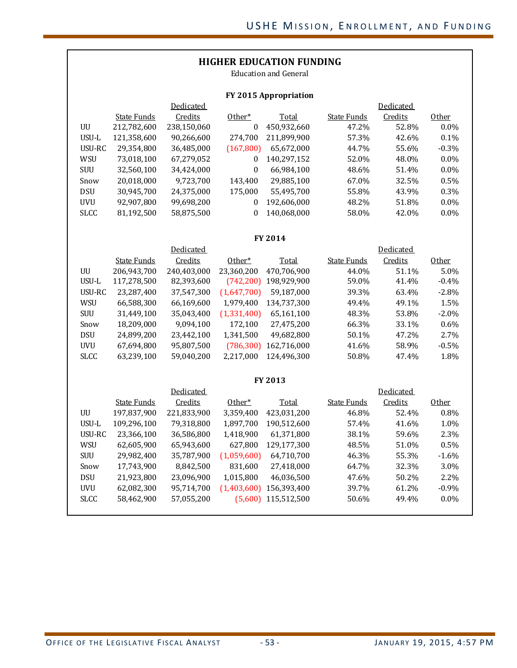## **HIGHER EDUCATION FUNDING**

Education and General

#### **FY 2015 Appropriation**

|             |             | Dedicated   |            |             |             | Dedicated |         |
|-------------|-------------|-------------|------------|-------------|-------------|-----------|---------|
|             | State Funds | Credits     | Other*     | Total       | State Funds | Credits   | Other   |
| UU          | 212,782,600 | 238,150,060 | 0          | 450,932,660 | 47.2%       | 52.8%     | $0.0\%$ |
| USU-L       | 121,358,600 | 90,266,600  | 274,700    | 211,899,900 | 57.3%       | 42.6%     | 0.1%    |
| USU-RC      | 29,354,800  | 36,485,000  | (167, 800) | 65,672,000  | 44.7%       | 55.6%     | $-0.3%$ |
| WSU         | 73,018,100  | 67,279,052  | 0          | 140.297.152 | 52.0%       | 48.0%     | $0.0\%$ |
| <b>SUU</b>  | 32,560,100  | 34,424,000  | 0          | 66,984,100  | 48.6%       | 51.4%     | $0.0\%$ |
| Snow        | 20,018,000  | 9,723,700   | 143.400    | 29,885,100  | 67.0%       | 32.5%     | $0.5\%$ |
| <b>DSU</b>  | 30,945,700  | 24,375,000  | 175,000    | 55,495,700  | 55.8%       | 43.9%     | $0.3\%$ |
| <b>UVU</b>  | 92.907.800  | 99,698,200  | $\theta$   | 192,606,000 | 48.2%       | 51.8%     | $0.0\%$ |
| <b>SLCC</b> | 81,192,500  | 58,875,500  | 0          | 140.068.000 | 58.0%       | 42.0%     | $0.0\%$ |

#### **FY 2014**

|             |             | Dedicated   |             |             |             | Dedicated |                   |
|-------------|-------------|-------------|-------------|-------------|-------------|-----------|-------------------|
|             | State Funds | Credits     | Other*      | Total       | State Funds | Credits   | 0 <sub>ther</sub> |
| UU          | 206,943,700 | 240,403,000 | 23,360,200  | 470,706,900 | 44.0%       | 51.1%     | $5.0\%$           |
| USU-L       | 117,278,500 | 82,393,600  | (742, 200)  | 198,929,900 | 59.0%       | 41.4%     | $-0.4\%$          |
| USU-RC      | 23,287,400  | 37,547,300  | (1,647,700) | 59,187,000  | 39.3%       | 63.4%     | $-2.8\%$          |
| WSU         | 66,588,300  | 66,169,600  | 1,979,400   | 134,737,300 | 49.4%       | 49.1%     | 1.5%              |
| <b>SUU</b>  | 31,449,100  | 35,043,400  | (1,331,400) | 65,161,100  | 48.3%       | 53.8%     | $-2.0\%$          |
| Snow        | 18,209,000  | 9,094,100   | 172,100     | 27,475,200  | 66.3%       | 33.1%     | $0.6\%$           |
| <b>DSU</b>  | 24,899,200  | 23,442,100  | 1,341,500   | 49,682,800  | 50.1%       | 47.2%     | $2.7\%$           |
| <b>UVU</b>  | 67,694,800  | 95,807,500  | (786, 300)  | 162,716,000 | 41.6%       | 58.9%     | $-0.5\%$          |
| <b>SLCC</b> | 63,239,100  | 59,040,200  | 2.217.000   | 124.496.300 | 50.8%       | 47.4%     | 1.8%              |
|             |             |             |             |             |             |           |                   |

#### **FY 2013**

|             |             | Dedicated   |             |             |             | Dedicated |                   |
|-------------|-------------|-------------|-------------|-------------|-------------|-----------|-------------------|
|             | State Funds | Credits     | Other*      | Total       | State Funds | Credits   | 0 <sub>ther</sub> |
| UU          | 197,837,900 | 221,833,900 | 3,359,400   | 423,031,200 | 46.8%       | 52.4%     | $0.8\%$           |
| USU-L       | 109,296,100 | 79,318,800  | 1,897,700   | 190,512,600 | 57.4%       | 41.6%     | 1.0%              |
| USU-RC      | 23,366,100  | 36,586,800  | 1,418,900   | 61,371,800  | 38.1%       | 59.6%     | 2.3%              |
| <b>WSU</b>  | 62,605,900  | 65,943,600  | 627,800     | 129,177,300 | 48.5%       | 51.0%     | 0.5%              |
| <b>SUU</b>  | 29,982,400  | 35,787,900  | (1,059,600) | 64,710,700  | 46.3%       | 55.3%     | $-1.6\%$          |
| Snow        | 17,743,900  | 8,842,500   | 831,600     | 27,418,000  | 64.7%       | 32.3%     | $3.0\%$           |
| <b>DSU</b>  | 21,923,800  | 23,096,900  | 1,015,800   | 46,036,500  | 47.6%       | 50.2%     | $2.2\%$           |
| <b>UVU</b>  | 62,082,300  | 95,714,700  | (1,403,600) | 156,393,400 | 39.7%       | 61.2%     | $-0.9\%$          |
| <b>SLCC</b> | 58,462,900  | 57,055,200  | (5,600)     | 115,512,500 | 50.6%       | 49.4%     | $0.0\%$           |
|             |             |             |             |             |             |           |                   |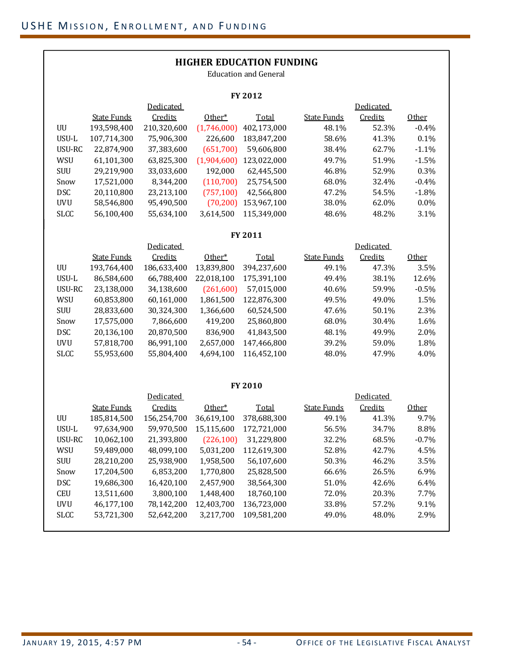|                        | <b>HIGHER EDUCATION FUNDING</b><br><b>Education and General</b> |             |             |                           |                    |           |              |  |  |  |  |  |  |
|------------------------|-----------------------------------------------------------------|-------------|-------------|---------------------------|--------------------|-----------|--------------|--|--|--|--|--|--|
|                        |                                                                 |             |             | FY 2012                   |                    |           |              |  |  |  |  |  |  |
|                        | <b>Dedicated</b><br>Dedicated                                   |             |             |                           |                    |           |              |  |  |  |  |  |  |
|                        | <b>State Funds</b>                                              | Credits     | Other*      | Total                     | <b>State Funds</b> | Credits   | Other        |  |  |  |  |  |  |
| UU                     | 193,598,400                                                     | 210,320,600 | (1,746,000) | 402,173,000               | 48.1%              | 52.3%     | $-0.4%$      |  |  |  |  |  |  |
| USU-L                  | 107,714,300                                                     | 75,906,300  | 226,600     | 183,847,200               | 58.6%              | 41.3%     | 0.1%         |  |  |  |  |  |  |
| USU-RC                 | 22,874,900                                                      | 37,383,600  | (651,700)   | 59,606,800                | 38.4%              | 62.7%     | $-1.1%$      |  |  |  |  |  |  |
| WSU                    | 61,101,300                                                      | 63,825,300  |             | $(1,904,600)$ 123,022,000 | 49.7%              | 51.9%     | $-1.5%$      |  |  |  |  |  |  |
| SUU                    | 29,219,900                                                      | 33,033,600  | 192,000     | 62,445,500                | 46.8%              | 52.9%     | 0.3%         |  |  |  |  |  |  |
| Snow                   | 17,521,000                                                      | 8,344,200   | (110,700)   | 25,754,500                | 68.0%              | 32.4%     | $-0.4%$      |  |  |  |  |  |  |
| <b>DSC</b>             | 20,110,800                                                      | 23,213,100  | (757, 100)  | 42,566,800                | 47.2%              | 54.5%     | $-1.8%$      |  |  |  |  |  |  |
| <b>UVU</b>             | 58,546,800                                                      | 95,490,500  | (70, 200)   | 153,967,100               | 38.0%              | 62.0%     | 0.0%         |  |  |  |  |  |  |
| <b>SLCC</b>            | 56,100,400                                                      | 55,634,100  | 3,614,500   | 115,349,000               | 48.6%              | 48.2%     | 3.1%         |  |  |  |  |  |  |
| FY 2011                |                                                                 |             |             |                           |                    |           |              |  |  |  |  |  |  |
| Dedicated<br>Dedicated |                                                                 |             |             |                           |                    |           |              |  |  |  |  |  |  |
|                        | <b>State Funds</b>                                              | Credits     | Other*      | Total                     | <b>State Funds</b> | Credits   | <b>Other</b> |  |  |  |  |  |  |
| UU                     | 193,764,400                                                     | 186,633,400 | 13,839,800  | 394,237,600               | 49.1%              | 47.3%     | 3.5%         |  |  |  |  |  |  |
| USU-L                  | 86,584,600                                                      | 66,788,400  | 22,018,100  | 175,391,100               | 49.4%              | 38.1%     | 12.6%        |  |  |  |  |  |  |
| USU-RC                 | 23,138,000                                                      | 34,138,600  | (261,600)   | 57,015,000                | 40.6%              | 59.9%     | $-0.5%$      |  |  |  |  |  |  |
| WSU                    | 60,853,800                                                      | 60,161,000  | 1,861,500   | 122,876,300               | 49.5%              | 49.0%     | 1.5%         |  |  |  |  |  |  |
| <b>SUU</b>             | 28,833,600                                                      | 30,324,300  | 1,366,600   | 60,524,500                | 47.6%              | 50.1%     | 2.3%         |  |  |  |  |  |  |
| Snow                   | 17,575,000                                                      | 7,866,600   | 419,200     | 25,860,800                | 68.0%              | 30.4%     | 1.6%         |  |  |  |  |  |  |
| <b>DSC</b>             | 20,136,100                                                      | 20,870,500  | 836,900     | 41,843,500                | 48.1%              | 49.9%     | 2.0%         |  |  |  |  |  |  |
| <b>UVU</b>             | 57,818,700                                                      | 86,991,100  | 2,657,000   | 147,466,800               | 39.2%              | 59.0%     | 1.8%         |  |  |  |  |  |  |
| <b>SLCC</b>            | 55,953,600                                                      | 55,804,400  | 4,694,100   | 116,452,100               | 48.0%              | 47.9%     | 4.0%         |  |  |  |  |  |  |
|                        |                                                                 |             |             | FY 2010                   |                    |           |              |  |  |  |  |  |  |
|                        |                                                                 | Dedicated   |             |                           |                    | Dedicated |              |  |  |  |  |  |  |
|                        | <b>State Funds</b>                                              | Credits     | Other*      | Total                     | <b>State Funds</b> | Credits   | Other        |  |  |  |  |  |  |
| UU                     | 185,814,500                                                     | 156,254,700 | 36,619,100  | 378,688,300               | 49.1%              | 41.3%     | 9.7%         |  |  |  |  |  |  |
| USU-L                  | 97,634,900                                                      | 59,970,500  | 15,115,600  | 172,721,000               | 56.5%              | 34.7%     | 8.8%         |  |  |  |  |  |  |
| USU-RC                 | 10,062,100                                                      | 21,393,800  | (226, 100)  | 31,229,800                | 32.2%              | 68.5%     | $-0.7%$      |  |  |  |  |  |  |
| WSU                    | 59,489,000                                                      | 48,099,100  | 5,031,200   | 112,619,300               | 52.8%              | 42.7%     | 4.5%         |  |  |  |  |  |  |
| SUU                    | 28,210,200                                                      | 25,938,900  | 1,958,500   | 56,107,600                | 50.3%              | 46.2%     | 3.5%         |  |  |  |  |  |  |
| Snow                   | 17,204,500                                                      | 6,853,200   | 1,770,800   | 25,828,500                | 66.6%              | 26.5%     | 6.9%         |  |  |  |  |  |  |
| <b>DSC</b>             | 19,686,300                                                      | 16,420,100  | 2,457,900   | 38,564,300                | 51.0%              | 42.6%     | 6.4%         |  |  |  |  |  |  |
| <b>CEU</b>             | 13,511,600                                                      | 3,800,100   | 1,448,400   | 18,760,100                | 72.0%              | 20.3%     | 7.7%         |  |  |  |  |  |  |
| <b>UVU</b>             | 46,177,100                                                      | 78,142,200  | 12,403,700  | 136,723,000               | 33.8%              | 57.2%     | 9.1%         |  |  |  |  |  |  |
| <b>SLCC</b>            | 53,721,300                                                      | 52,642,200  | 3,217,700   | 109,581,200               | 49.0%              | 48.0%     | 2.9%         |  |  |  |  |  |  |
|                        |                                                                 |             |             |                           |                    |           |              |  |  |  |  |  |  |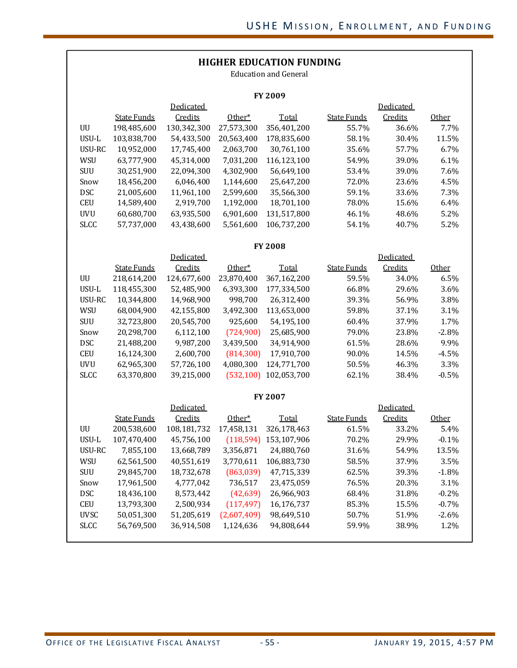| <b>HIGHER EDUCATION FUNDING</b><br><b>Education and General</b> |                    |             |             |                |                    |           |              |  |  |  |  |  |  |
|-----------------------------------------------------------------|--------------------|-------------|-------------|----------------|--------------------|-----------|--------------|--|--|--|--|--|--|
| <b>FY 2009</b>                                                  |                    |             |             |                |                    |           |              |  |  |  |  |  |  |
| Dedicated<br>Dedicated                                          |                    |             |             |                |                    |           |              |  |  |  |  |  |  |
|                                                                 | <b>State Funds</b> | Credits     | Other*      | Total          | <b>State Funds</b> | Credits   | Other        |  |  |  |  |  |  |
| UU                                                              | 198,485,600        | 130,342,300 | 27,573,300  | 356,401,200    | 55.7%              | 36.6%     | 7.7%         |  |  |  |  |  |  |
| USU-L                                                           | 103,838,700        | 54,433,500  | 20,563,400  | 178,835,600    | 58.1%              | 30.4%     | 11.5%        |  |  |  |  |  |  |
| USU-RC                                                          | 10,952,000         | 17,745,400  | 2,063,700   | 30,761,100     | 35.6%              | 57.7%     | 6.7%         |  |  |  |  |  |  |
| WSU                                                             | 63,777,900         | 45,314,000  | 7,031,200   | 116,123,100    | 54.9%              | 39.0%     | 6.1%         |  |  |  |  |  |  |
| SUU                                                             | 30,251,900         | 22,094,300  | 4,302,900   | 56,649,100     | 53.4%              | 39.0%     | 7.6%         |  |  |  |  |  |  |
| Snow                                                            | 18,456,200         | 6,046,400   | 1,144,600   | 25,647,200     | 72.0%              | 23.6%     | 4.5%         |  |  |  |  |  |  |
| <b>DSC</b>                                                      | 21,005,600         | 11,961,100  | 2,599,600   | 35,566,300     | 59.1%              | 33.6%     | 7.3%         |  |  |  |  |  |  |
| <b>CEU</b>                                                      | 14,589,400         | 2,919,700   | 1,192,000   | 18,701,100     | 78.0%              | 15.6%     | 6.4%         |  |  |  |  |  |  |
| <b>UVU</b>                                                      | 60,680,700         | 63,935,500  | 6,901,600   | 131,517,800    | 46.1%              | 48.6%     | 5.2%         |  |  |  |  |  |  |
| <b>SLCC</b>                                                     | 57,737,000         | 43,438,600  | 5,561,600   | 106,737,200    | 54.1%              | 40.7%     | 5.2%         |  |  |  |  |  |  |
|                                                                 |                    |             |             |                |                    |           |              |  |  |  |  |  |  |
| <b>FY 2008</b><br>Dedicated<br>Dedicated                        |                    |             |             |                |                    |           |              |  |  |  |  |  |  |
|                                                                 | <b>State Funds</b> | Credits     | Other*      | Total          | <b>State Funds</b> | Credits   | <b>Other</b> |  |  |  |  |  |  |
| UU                                                              | 218,614,200        | 124,677,600 | 23,870,400  | 367,162,200    | 59.5%              | 34.0%     | 6.5%         |  |  |  |  |  |  |
| USU-L                                                           | 118,455,300        | 52,485,900  | 6,393,300   | 177,334,500    | 66.8%              | 29.6%     | 3.6%         |  |  |  |  |  |  |
| USU-RC                                                          | 10,344,800         | 14,968,900  | 998,700     | 26,312,400     | 39.3%              | 56.9%     | 3.8%         |  |  |  |  |  |  |
| WSU                                                             | 68,004,900         | 42,155,800  | 3,492,300   | 113,653,000    | 59.8%              | 37.1%     | 3.1%         |  |  |  |  |  |  |
| SUU                                                             | 32,723,800         | 20,545,700  | 925,600     | 54,195,100     | 60.4%              | 37.9%     | 1.7%         |  |  |  |  |  |  |
| Snow                                                            | 20,298,700         | 6,112,100   | (724,900)   | 25,685,900     | 79.0%              | 23.8%     | $-2.8%$      |  |  |  |  |  |  |
| <b>DSC</b>                                                      | 21,488,200         | 9,987,200   | 3,439,500   | 34,914,900     | 61.5%              | 28.6%     | 9.9%         |  |  |  |  |  |  |
| <b>CEU</b>                                                      | 16,124,300         | 2,600,700   | (814, 300)  | 17,910,700     | 90.0%              | 14.5%     | $-4.5%$      |  |  |  |  |  |  |
| <b>UVU</b>                                                      | 62,965,300         | 57,726,100  | 4,080,300   | 124,771,700    | 50.5%              | 46.3%     | 3.3%         |  |  |  |  |  |  |
| <b>SLCC</b>                                                     | 63,370,800         | 39,215,000  | (532, 100)  | 102,053,700    | 62.1%              | 38.4%     | $-0.5%$      |  |  |  |  |  |  |
|                                                                 |                    |             |             |                |                    |           |              |  |  |  |  |  |  |
|                                                                 |                    |             |             | <b>FY 2007</b> |                    |           |              |  |  |  |  |  |  |
|                                                                 |                    | Dedicated   |             |                |                    | Dedicated |              |  |  |  |  |  |  |
|                                                                 | <b>State Funds</b> | Credits     | Other*      | <b>Total</b>   | <b>State Funds</b> | Credits   | Other        |  |  |  |  |  |  |
| UU                                                              | 200,538,600        | 108,181,732 | 17,458,131  | 326,178,463    | 61.5%              | 33.2%     | 5.4%         |  |  |  |  |  |  |
| USU-L                                                           | 107,470,400        | 45,756,100  | (118, 594)  | 153,107,906    | 70.2%              | 29.9%     | $-0.1%$      |  |  |  |  |  |  |
| USU-RC                                                          | 7,855,100          | 13,668,789  | 3,356,871   | 24,880,760     | 31.6%              | 54.9%     | 13.5%        |  |  |  |  |  |  |
| WSU                                                             | 62,561,500         | 40,551,619  | 3,770,611   | 106,883,730    | 58.5%              | 37.9%     | 3.5%         |  |  |  |  |  |  |
| SUU                                                             | 29,845,700         | 18,732,678  | (863,039)   | 47,715,339     | 62.5%              | 39.3%     | $-1.8%$      |  |  |  |  |  |  |
| Snow                                                            | 17,961,500         | 4,777,042   | 736,517     | 23,475,059     | 76.5%              | 20.3%     | 3.1%         |  |  |  |  |  |  |
| <b>DSC</b>                                                      | 18,436,100         | 8,573,442   | (42, 639)   | 26,966,903     | 68.4%              | 31.8%     | $-0.2%$      |  |  |  |  |  |  |
| <b>CEU</b>                                                      | 13,793,300         | 2,500,934   | (117, 497)  | 16,176,737     | 85.3%              | 15.5%     | $-0.7%$      |  |  |  |  |  |  |
| <b>UVSC</b>                                                     | 50,051,300         | 51,205,619  | (2,607,409) | 98,649,510     | 50.7%              | 51.9%     | $-2.6%$      |  |  |  |  |  |  |
| <b>SLCC</b>                                                     | 56,769,500         | 36,914,508  | 1,124,636   | 94,808,644     | 59.9%              | 38.9%     | 1.2%         |  |  |  |  |  |  |
|                                                                 |                    |             |             |                |                    |           |              |  |  |  |  |  |  |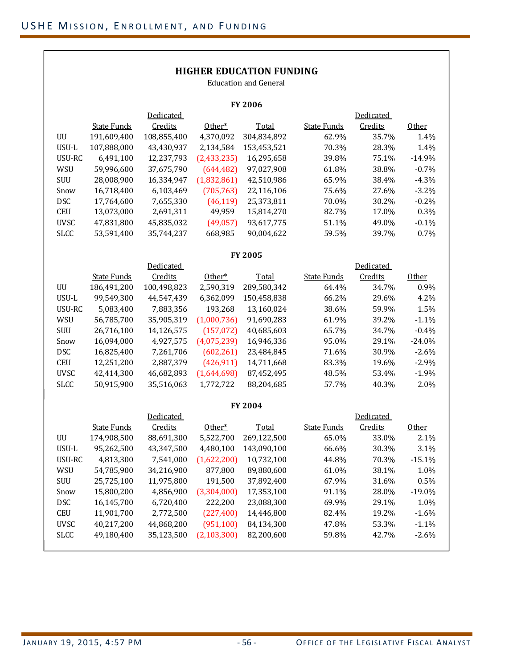## **HIGHER EDUCATION FUNDING**

Education and General

| <b>FY 2006</b> |                    |                  |               |                |                    |                  |              |  |  |  |  |  |
|----------------|--------------------|------------------|---------------|----------------|--------------------|------------------|--------------|--|--|--|--|--|
|                |                    | <b>Dedicated</b> |               |                |                    | <b>Dedicated</b> |              |  |  |  |  |  |
|                | <b>State Funds</b> | Credits          | Other*        | Total          | <b>State Funds</b> | Credits          | Other        |  |  |  |  |  |
| UU             | 191,609,400        | 108,855,400      | 4,370,092     | 304,834,892    | 62.9%              | 35.7%            | 1.4%         |  |  |  |  |  |
| USU-L          | 107,888,000        | 43,430,937       | 2,134,584     | 153,453,521    | 70.3%              | 28.3%            | 1.4%         |  |  |  |  |  |
| USU-RC         | 6,491,100          | 12,237,793       | (2, 433, 235) | 16,295,658     | 39.8%              | 75.1%            | $-14.9%$     |  |  |  |  |  |
| WSU            | 59,996,600         | 37,675,790       | (644, 482)    | 97,027,908     | 61.8%              | 38.8%            | $-0.7%$      |  |  |  |  |  |
| <b>SUU</b>     | 28,008,900         | 16,334,947       | (1,832,861)   | 42,510,986     | 65.9%              | 38.4%            | $-4.3%$      |  |  |  |  |  |
| Snow           | 16,718,400         | 6,103,469        | (705, 763)    | 22,116,106     | 75.6%              | 27.6%            | $-3.2%$      |  |  |  |  |  |
| <b>DSC</b>     | 17,764,600         | 7,655,330        | (46, 119)     | 25,373,811     | 70.0%              | 30.2%            | $-0.2%$      |  |  |  |  |  |
| <b>CEU</b>     | 13,073,000         | 2,691,311        | 49,959        | 15,814,270     | 82.7%              | 17.0%            | 0.3%         |  |  |  |  |  |
| <b>UVSC</b>    | 47,831,800         | 45,835,032       | (49,057)      | 93,617,775     | 51.1%              | 49.0%            | $-0.1%$      |  |  |  |  |  |
| <b>SLCC</b>    | 53,591,400         | 35,744,237       | 668,985       | 90,004,622     | 59.5%              | 39.7%            | 0.7%         |  |  |  |  |  |
| <b>FY 2005</b> |                    |                  |               |                |                    |                  |              |  |  |  |  |  |
|                |                    | Dedicated        |               |                |                    | Dedicated        |              |  |  |  |  |  |
|                | <b>State Funds</b> | Credits          | Other*        | <b>Total</b>   | <b>State Funds</b> | Credits          | <b>Other</b> |  |  |  |  |  |
| UU             | 186,491,200        | 100,498,823      | 2,590,319     | 289,580,342    | 64.4%              | 34.7%            | 0.9%         |  |  |  |  |  |
| USU-L          | 99,549,300         | 44,547,439       | 6,362,099     | 150,458,838    | 66.2%              | 29.6%            | 4.2%         |  |  |  |  |  |
| USU-RC         | 5,083,400          | 7,883,356        | 193,268       | 13,160,024     | 38.6%              | 59.9%            | 1.5%         |  |  |  |  |  |
| WSU            | 56,785,700         | 35,905,319       | (1,000,736)   | 91,690,283     | 61.9%              | 39.2%            | $-1.1%$      |  |  |  |  |  |
| SUU            | 26,716,100         | 14,126,575       | (157, 072)    | 40,685,603     | 65.7%              | 34.7%            | $-0.4%$      |  |  |  |  |  |
| Snow           | 16,094,000         | 4,927,575        | (4,075,239)   | 16,946,336     | 95.0%              | 29.1%            | $-24.0%$     |  |  |  |  |  |
| <b>DSC</b>     | 16,825,400         | 7,261,706        | (602, 261)    | 23,484,845     | 71.6%              | 30.9%            | $-2.6%$      |  |  |  |  |  |
| <b>CEU</b>     | 12,251,200         | 2,887,379        | (426, 911)    | 14,711,668     | 83.3%              | 19.6%            | $-2.9%$      |  |  |  |  |  |
| <b>UVSC</b>    | 42,414,300         | 46,682,893       | (1,644,698)   | 87,452,495     | 48.5%              | 53.4%            | $-1.9%$      |  |  |  |  |  |
| <b>SLCC</b>    | 50,915,900         | 35,516,063       | 1,772,722     | 88,204,685     | 57.7%              | 40.3%            | 2.0%         |  |  |  |  |  |
|                |                    |                  |               | <b>FY 2004</b> |                    |                  |              |  |  |  |  |  |
|                |                    | <b>Dedicated</b> |               |                |                    | <b>Dedicated</b> |              |  |  |  |  |  |
|                | <b>State Funds</b> | Credits          | Other*        | Total          | <b>State Funds</b> | Credits          | Other        |  |  |  |  |  |
| UU             | 174,908,500        | 88,691,300       | 5,522,700     | 269,122,500    | 65.0%              | 33.0%            | 2.1%         |  |  |  |  |  |
| USU-L          | 95,262,500         | 43,347,500       | 4,480,100     | 143,090,100    | 66.6%              | 30.3%            | 3.1%         |  |  |  |  |  |
| USU-RC         | 4,813,300          | 7,541,000        | (1,622,200)   | 10,732,100     | 44.8%              | 70.3%            | $-15.1%$     |  |  |  |  |  |
| WSU            | 54,785,900         | 34,216,900       | 877,800       | 89,880,600     | 61.0%              | 38.1%            | 1.0%         |  |  |  |  |  |
| SUU            | 25,725,100         | 11,975,800       | 191,500       | 37,892,400     | 67.9%              | 31.6%            | 0.5%         |  |  |  |  |  |
| Snow           | 15,800,200         | 4,856,900        | (3,304,000)   | 17,353,100     | 91.1%              | 28.0%            | $-19.0%$     |  |  |  |  |  |
| <b>DSC</b>     | 16,145,700         | 6,720,400        | 222,200       | 23,088,300     | 69.9%              | 29.1%            | 1.0%         |  |  |  |  |  |
| <b>CEU</b>     | 11,901,700         | 2,772,500        | (227, 400)    | 14,446,800     | 82.4%              | 19.2%            | $-1.6%$      |  |  |  |  |  |
| <b>UVSC</b>    | 40,217,200         | 44,868,200       | (951, 100)    | 84,134,300     | 47.8%              | 53.3%            | $-1.1%$      |  |  |  |  |  |
| <b>SLCC</b>    | 49,180,400         | 35,123,500       | (2, 103, 300) | 82,200,600     | 59.8%              | 42.7%            | $-2.6%$      |  |  |  |  |  |
|                |                    |                  |               |                |                    |                  |              |  |  |  |  |  |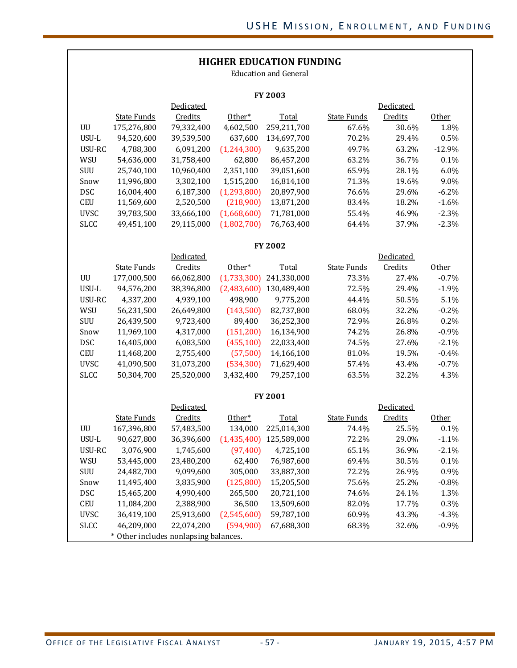| <b>HIGHER EDUCATION FUNDING</b><br><b>Education and General</b> |                                       |            |               |              |                    |           |          |  |  |  |  |  |
|-----------------------------------------------------------------|---------------------------------------|------------|---------------|--------------|--------------------|-----------|----------|--|--|--|--|--|
| FY 2003                                                         |                                       |            |               |              |                    |           |          |  |  |  |  |  |
| Dedicated<br>Dedicated                                          |                                       |            |               |              |                    |           |          |  |  |  |  |  |
|                                                                 | <b>State Funds</b>                    | Credits    | Other*        | <b>Total</b> | <b>State Funds</b> | Credits   | Other    |  |  |  |  |  |
| UU                                                              | 175,276,800                           | 79,332,400 | 4,602,500     | 259,211,700  | 67.6%              | 30.6%     | 1.8%     |  |  |  |  |  |
| USU-L                                                           | 94,520,600                            | 39,539,500 | 637,600       | 134,697,700  | 70.2%              | 29.4%     | 0.5%     |  |  |  |  |  |
| USU-RC                                                          | 4,788,300                             | 6,091,200  | (1, 244, 300) | 9,635,200    | 49.7%              | 63.2%     | $-12.9%$ |  |  |  |  |  |
| WSU                                                             | 54,636,000                            | 31,758,400 | 62,800        | 86,457,200   | 63.2%              | 36.7%     | 0.1%     |  |  |  |  |  |
| SUU                                                             | 25,740,100                            | 10,960,400 | 2,351,100     | 39,051,600   | 65.9%              | 28.1%     | 6.0%     |  |  |  |  |  |
| Snow                                                            | 11,996,800                            | 3,302,100  | 1,515,200     | 16,814,100   | 71.3%              | 19.6%     | 9.0%     |  |  |  |  |  |
| <b>DSC</b>                                                      | 16,004,400                            | 6,187,300  | (1, 293, 800) | 20,897,900   | 76.6%              | 29.6%     | $-6.2%$  |  |  |  |  |  |
| <b>CEU</b>                                                      | 11,569,600                            | 2,520,500  | (218,900)     | 13,871,200   | 83.4%              | 18.2%     | $-1.6%$  |  |  |  |  |  |
| <b>UVSC</b>                                                     | 39,783,500                            | 33,666,100 | (1,668,600)   | 71,781,000   | 55.4%              | 46.9%     | $-2.3%$  |  |  |  |  |  |
| <b>SLCC</b>                                                     | 49,451,100                            | 29,115,000 | (1,802,700)   | 76,763,400   | 64.4%              | 37.9%     | $-2.3%$  |  |  |  |  |  |
|                                                                 |                                       |            |               |              |                    |           |          |  |  |  |  |  |
|                                                                 |                                       |            |               | FY 2002      |                    |           |          |  |  |  |  |  |
|                                                                 |                                       | Dedicated  |               |              |                    | Dedicated |          |  |  |  |  |  |
|                                                                 | <b>State Funds</b>                    | Credits    | Other*        | Total        | <b>State Funds</b> | Credits   | Other    |  |  |  |  |  |
| UU                                                              | 177,000,500                           | 66,062,800 | (1,733,300)   | 241,330,000  | 73.3%              | 27.4%     | $-0.7%$  |  |  |  |  |  |
| USU-L                                                           | 94,576,200                            | 38,396,800 | (2,483,600)   | 130,489,400  | 72.5%              | 29.4%     | $-1.9%$  |  |  |  |  |  |
| USU-RC                                                          | 4,337,200                             | 4,939,100  | 498,900       | 9,775,200    | 44.4%              | 50.5%     | 5.1%     |  |  |  |  |  |
| WSU                                                             | 56,231,500                            | 26,649,800 | (143,500)     | 82,737,800   | 68.0%              | 32.2%     | $-0.2%$  |  |  |  |  |  |
| SUU                                                             | 26,439,500                            | 9,723,400  | 89,400        | 36,252,300   | 72.9%              | 26.8%     | 0.2%     |  |  |  |  |  |
| Snow                                                            | 11,969,100                            | 4,317,000  | (151, 200)    | 16,134,900   | 74.2%              | 26.8%     | $-0.9%$  |  |  |  |  |  |
| <b>DSC</b>                                                      | 16,405,000                            | 6,083,500  | (455, 100)    | 22,033,400   | 74.5%              | 27.6%     | $-2.1%$  |  |  |  |  |  |
| <b>CEU</b>                                                      | 11,468,200                            | 2,755,400  | (57, 500)     | 14,166,100   | 81.0%              | 19.5%     | $-0.4%$  |  |  |  |  |  |
| <b>UVSC</b>                                                     | 41,090,500                            | 31,073,200 | (534, 300)    | 71,629,400   | 57.4%              | 43.4%     | $-0.7%$  |  |  |  |  |  |
| <b>SLCC</b>                                                     | 50,304,700                            | 25,520,000 | 3,432,400     | 79,257,100   | 63.5%              | 32.2%     | 4.3%     |  |  |  |  |  |
|                                                                 |                                       |            |               | FY 2001      |                    |           |          |  |  |  |  |  |
|                                                                 |                                       | Dedicated  |               |              |                    | Dedicated |          |  |  |  |  |  |
|                                                                 | <b>State Funds</b>                    | Credits    | Other*        | <b>Total</b> | <b>State Funds</b> | Credits   | Other    |  |  |  |  |  |
| UU                                                              | 167,396,800                           | 57,483,500 | 134,000       | 225,014,300  | 74.4%              | 25.5%     | 0.1%     |  |  |  |  |  |
| USU-L                                                           | 90,627,800                            | 36,396,600 | (1,435,400)   | 125,589,000  | 72.2%              | 29.0%     | $-1.1%$  |  |  |  |  |  |
| USU-RC                                                          | 3,076,900                             | 1,745,600  | (97, 400)     | 4,725,100    | 65.1%              | 36.9%     | $-2.1%$  |  |  |  |  |  |
| WSU                                                             | 53,445,000                            | 23,480,200 | 62,400        | 76,987,600   | 69.4%              | 30.5%     | 0.1%     |  |  |  |  |  |
| SUU                                                             | 24,482,700                            | 9,099,600  | 305,000       | 33,887,300   | 72.2%              | 26.9%     | 0.9%     |  |  |  |  |  |
| Snow                                                            | 11,495,400                            | 3,835,900  | (125,800)     | 15,205,500   | 75.6%              | 25.2%     | $-0.8%$  |  |  |  |  |  |
| <b>DSC</b>                                                      | 15,465,200                            | 4,990,400  | 265,500       | 20,721,100   | 74.6%              | 24.1%     | 1.3%     |  |  |  |  |  |
| <b>CEU</b>                                                      | 11,084,200                            | 2,388,900  | 36,500        | 13,509,600   | 82.0%              | 17.7%     | 0.3%     |  |  |  |  |  |
| <b>UVSC</b>                                                     | 36,419,100                            | 25,913,600 | (2,545,600)   | 59,787,100   | 60.9%              | 43.3%     | $-4.3%$  |  |  |  |  |  |
| <b>SLCC</b>                                                     | 46,209,000                            | 22,074,200 | (594,900)     | 67,688,300   | 68.3%              | 32.6%     | $-0.9%$  |  |  |  |  |  |
|                                                                 | * Other includes nonlapsing balances. |            |               |              |                    |           |          |  |  |  |  |  |